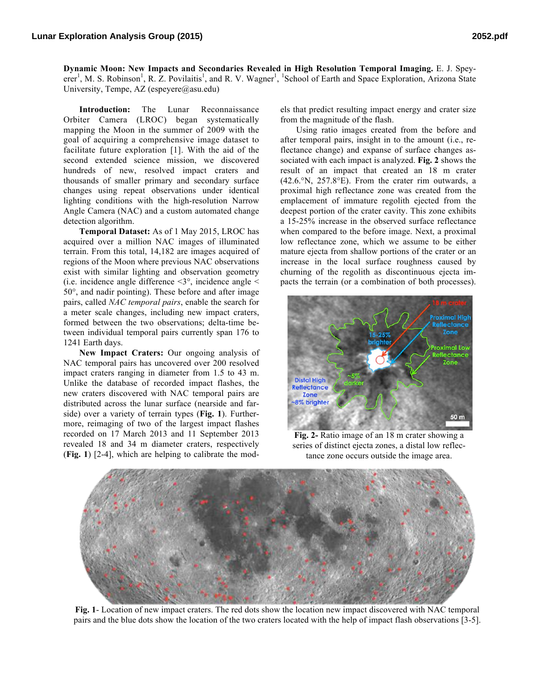**Dynamic Moon: New Impacts and Secondaries Revealed in High Resolution Temporal Imaging.** E. J. Speyerer<sup>1</sup>, M. S. Robinson<sup>1</sup>, R. Z. Povilaitis<sup>1</sup>, and R. V. Wagner<sup>1</sup>, <sup>1</sup>School of Earth and Space Exploration, Arizona State University, Tempe, AZ (espeyere $@$ asu.edu)

**Introduction:** The Lunar Reconnaissance Orbiter Camera (LROC) began systematically mapping the Moon in the summer of 2009 with the goal of acquiring a comprehensive image dataset to facilitate future exploration [1]. With the aid of the second extended science mission, we discovered hundreds of new, resolved impact craters and thousands of smaller primary and secondary surface changes using repeat observations under identical lighting conditions with the high-resolution Narrow Angle Camera (NAC) and a custom automated change detection algorithm.

**Temporal Dataset:** As of 1 May 2015, LROC has acquired over a million NAC images of illuminated terrain. From this total, 14,182 are images acquired of regions of the Moon where previous NAC observations exist with similar lighting and observation geometry (i.e. incidence angle difference  $\leq 3^\circ$ , incidence angle  $\leq$ 50°, and nadir pointing). These before and after image pairs, called *NAC temporal pairs*, enable the search for a meter scale changes, including new impact craters, formed between the two observations; delta-time between individual temporal pairs currently span 176 to 1241 Earth days.

**New Impact Craters:** Our ongoing analysis of NAC temporal pairs has uncovered over 200 resolved impact craters ranging in diameter from 1.5 to 43 m. Unlike the database of recorded impact flashes, the new craters discovered with NAC temporal pairs are distributed across the lunar surface (nearside and farside) over a variety of terrain types (**Fig. 1**). Furthermore, reimaging of two of the largest impact flashes recorded on 17 March 2013 and 11 September 2013 revealed 18 and 34 m diameter craters, respectively (**Fig. 1**) [2-4], which are helping to calibrate the models that predict resulting impact energy and crater size from the magnitude of the flash.

Using ratio images created from the before and after temporal pairs, insight in to the amount (i.e., reflectance change) and expanse of surface changes associated with each impact is analyzed. **Fig. 2** shows the result of an impact that created an 18 m crater (42.6.°N, 257.8°E). From the crater rim outwards, a proximal high reflectance zone was created from the emplacement of immature regolith ejected from the deepest portion of the crater cavity. This zone exhibits a 15-25% increase in the observed surface reflectance when compared to the before image. Next, a proximal low reflectance zone, which we assume to be either mature ejecta from shallow portions of the crater or an increase in the local surface roughness caused by churning of the regolith as discontinuous ejecta impacts the terrain (or a combination of both processes).



**Fig. 2-** Ratio image of an 18 m crater showing a series of distinct ejecta zones, a distal low reflectance zone occurs outside the image area.



**Fig. 1**- Location of new impact craters. The red dots show the location new impact discovered with NAC temporal pairs and the blue dots show the location of the two craters located with the help of impact flash observations [3-5].